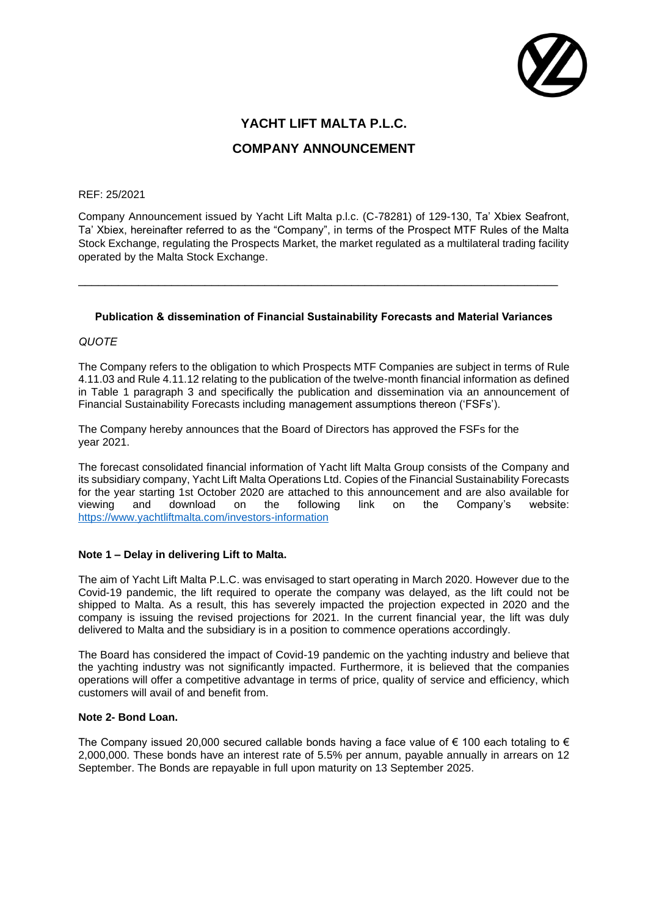

# **YACHT LIFT MALTA P.L.C. COMPANY ANNOUNCEMENT**

#### REF: 25/2021

Company Announcement issued by Yacht Lift Malta p.l.c. (C-78281) of 129-130, Ta' Xbiex Seafront, Ta' Xbiex, hereinafter referred to as the "Company", in terms of the Prospect MTF Rules of the Malta Stock Exchange, regulating the Prospects Market, the market regulated as a multilateral trading facility operated by the Malta Stock Exchange.

### **Publication & dissemination of Financial Sustainability Forecasts and Material Variances**

\_\_\_\_\_\_\_\_\_\_\_\_\_\_\_\_\_\_\_\_\_\_\_\_\_\_\_\_\_\_\_\_\_\_\_\_\_\_\_\_\_\_\_\_\_\_\_\_\_\_\_\_\_\_\_\_\_\_\_\_\_\_\_\_\_\_\_\_\_\_\_\_

### *QUOTE*

The Company refers to the obligation to which Prospects MTF Companies are subject in terms of Rule 4.11.03 and Rule 4.11.12 relating to the publication of the twelve-month financial information as defined in Table 1 paragraph 3 and specifically the publication and dissemination via an announcement of Financial Sustainability Forecasts including management assumptions thereon ('FSFs').

The Company hereby announces that the Board of Directors has approved the FSFs for the year 2021.

The forecast consolidated financial information of Yacht lift Malta Group consists of the Company and its subsidiary company, Yacht Lift Malta Operations Ltd. Copies of the Financial Sustainability Forecasts for the year starting 1st October 2020 are attached to this announcement and are also available for viewing and download on the following link on the Company's website: <https://www.yachtliftmalta.com/investors-information>

### **Note 1 – Delay in delivering Lift to Malta.**

The aim of Yacht Lift Malta P.L.C. was envisaged to start operating in March 2020. However due to the Covid-19 pandemic, the lift required to operate the company was delayed, as the lift could not be shipped to Malta. As a result, this has severely impacted the projection expected in 2020 and the company is issuing the revised projections for 2021. In the current financial year, the lift was duly delivered to Malta and the subsidiary is in a position to commence operations accordingly.

The Board has considered the impact of Covid-19 pandemic on the yachting industry and believe that the yachting industry was not significantly impacted. Furthermore, it is believed that the companies operations will offer a competitive advantage in terms of price, quality of service and efficiency, which customers will avail of and benefit from.

### **Note 2- Bond Loan.**

The Company issued 20,000 secured callable bonds having a face value of  $\epsilon$  100 each totaling to  $\epsilon$ 2,000,000. These bonds have an interest rate of 5.5% per annum, payable annually in arrears on 12 September. The Bonds are repayable in full upon maturity on 13 September 2025.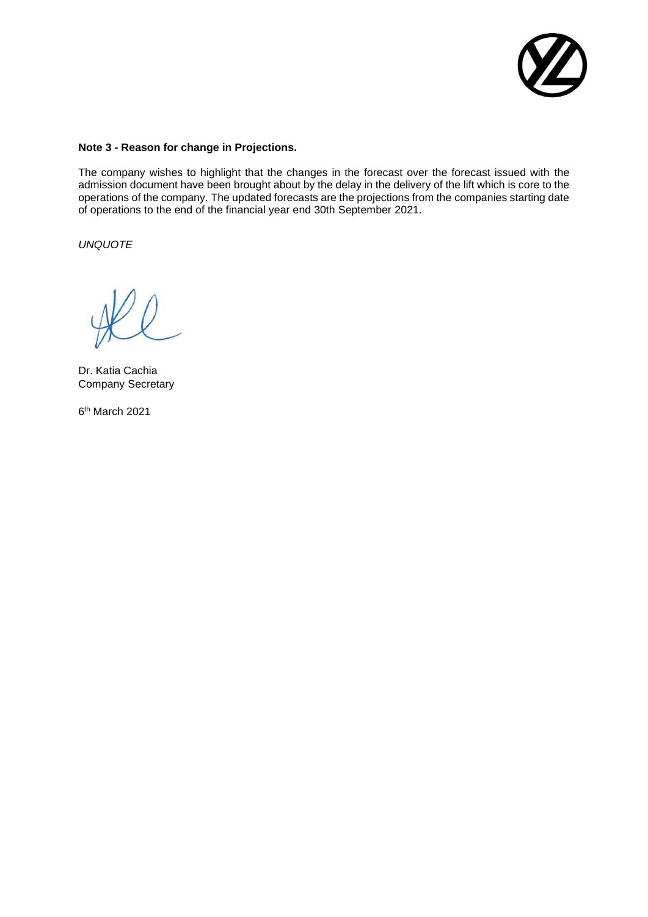

### **Note 3 - Reason for change in Projections.**

The company wishes to highlight that the changes in the forecast over the forecast issued with the admission document have been brought about by the delay in the delivery of the lift which is core to the operations of the company. The updated forecasts are the projections from the companies starting date of operations to the end of the financial year end 30th September 2021.

*UNQUOTE* 

Dr. Katia Cachia Company Secretary

6 th March 2021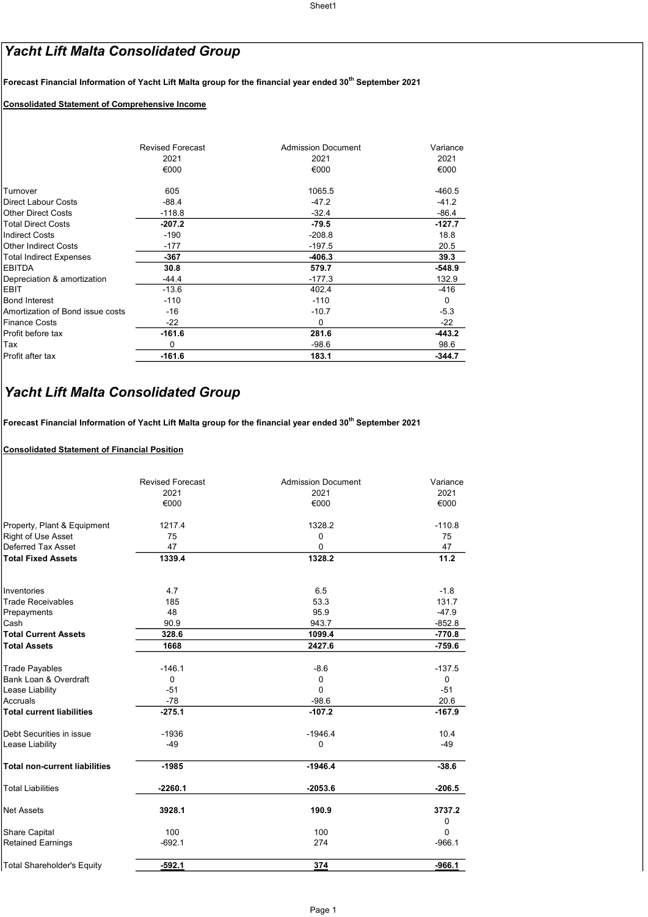# Yacht Lift Malta Consolidated Group

 $\left|$ Forecast Financial Information of Yacht Lift Malta group for the financial year ended 30<sup>th</sup> September 2021

### **Consolidated Statement of Comprehensive Income**

|                                  | <b>Revised Forecast</b> | <b>Admission Document</b> | Variance |
|----------------------------------|-------------------------|---------------------------|----------|
|                                  | 2021                    | 2021                      | 2021     |
|                                  | €000                    | €000                      | €000     |
| Turnover                         | 605                     | 1065.5                    | $-460.5$ |
| <b>Direct Labour Costs</b>       | $-88.4$                 | $-47.2$                   | $-41.2$  |
| <b>Other Direct Costs</b>        | $-118.8$                | $-32.4$                   | $-86.4$  |
| <b>Total Direct Costs</b>        | $-207.2$                | $-79.5$                   | $-127.7$ |
| <b>Indirect Costs</b>            | $-190$                  | $-208.8$                  | 18.8     |
| <b>Other Indirect Costs</b>      | $-177$                  | $-197.5$                  | 20.5     |
| <b>Total Indirect Expenses</b>   | -367                    | $-406.3$                  | 39.3     |
| EBITDA                           | 30.8                    | 579.7                     | $-548.9$ |
| Depreciation & amortization      | $-44.4$                 | $-177.3$                  | 132.9    |
| EBIT                             | $-13.6$                 | 402.4                     | -416     |
| <b>Bond Interest</b>             | $-110$                  | $-110$                    | 0        |
| Amortization of Bond issue costs | $-16$                   | $-10.7$                   | $-5.3$   |
| <b>Finance Costs</b>             | $-22$                   | 0                         | $-22$    |
| Profit before tax                | $-161.6$                | 281.6                     | $-443.2$ |
| Tax                              | 0                       | $-98.6$                   | 98.6     |
| Profit after tax                 | $-161.6$                | 183.1                     | $-344.7$ |

# Yacht Lift Malta Consolidated Group

 $\left|$ Forecast Financial Information of Yacht Lift Malta group for the financial year ended 30<sup>th</sup> September 2021

## **Consolidated Statement of Financial Position**

|                                      | <b>Revised Forecast</b> | <b>Admission Document</b> | Variance             |
|--------------------------------------|-------------------------|---------------------------|----------------------|
|                                      | 2021<br>€000            | 2021<br>€000              | 2021<br>€000         |
|                                      |                         |                           |                      |
| Property, Plant & Equipment          | 1217.4                  | 1328.2                    | $-110.8$             |
| <b>Right of Use Asset</b>            | 75                      | $\mathbf 0$               | 75                   |
| Deferred Tax Asset                   | 47                      | 0                         | 47                   |
| <b>Total Fixed Assets</b>            | 1339.4                  | 1328.2                    | 11.2                 |
| Inventories                          | 4.7                     | 6.5                       | $-1.8$               |
| <b>Trade Receivables</b>             | 185                     | 53.3                      | 131.7                |
| Prepayments                          | 48                      | 95.9                      | $-47.9$              |
| Cash                                 | 90.9                    | 943.7                     | $-852.8$             |
| <b>Total Current Assets</b>          | 328.6                   | 1099.4                    | $-770.8$             |
| <b>Total Assets</b>                  | 1668                    | 2427.6                    | $-759.6$             |
| <b>Trade Payables</b>                | $-146.1$                | $-8.6$                    | $-137.5$             |
| Bank Loan & Overdraft                | $\mathbf 0$             | $\mathbf 0$               | $\mathbf 0$          |
| Lease Liability                      | $-51$                   | $\Omega$                  | $-51$                |
| Accruals                             | $-78$                   | $-98.6$                   | 20.6                 |
| <b>Total current liabilities</b>     | $-275.1$                | $-107.2$                  | $-167.9$             |
| Debt Securities in issue             | $-1936$                 | $-1946.4$                 | 10.4                 |
| Lease Liability                      | $-49$                   | $\mathbf 0$               | $-49$                |
| <b>Total non-current liabilities</b> | $-1985$                 | $-1946.4$                 | $-38.6$              |
| <b>Total Liabilities</b>             | $-2260.1$               | $-2053.6$                 | $-206.5$             |
| <b>Net Assets</b>                    | 3928.1                  | 190.9                     | 3737.2               |
|                                      |                         |                           | 0                    |
| Share Capital                        | 100<br>$-692.1$         | 100<br>274                | $\Omega$<br>$-966.1$ |
| <b>Retained Earnings</b>             |                         |                           |                      |
| <b>Total Shareholder's Equity</b>    | $-592.1$                | 374                       | $-966.1$             |